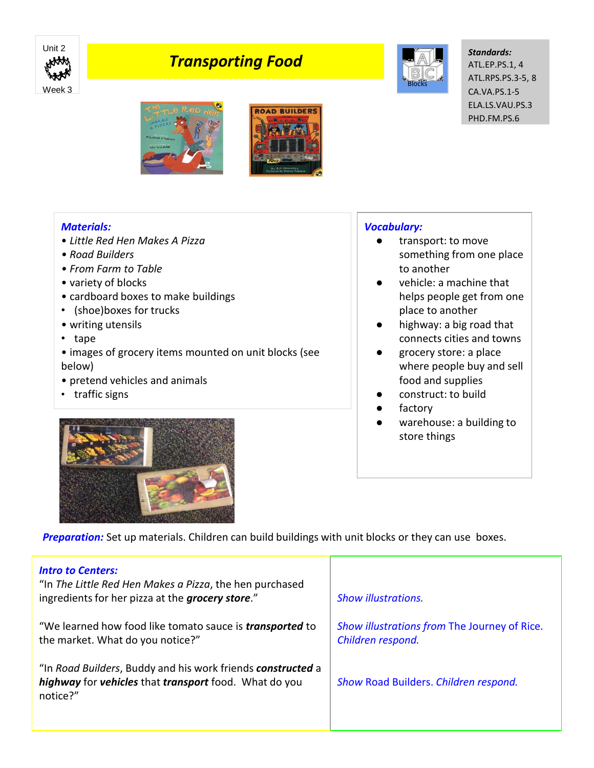

## *Transporting Food*



*Standards:* ATL.EP.PS.1, 4 ATL.RPS.PS.3-5, 8 CA.VA.PS.1-5 ELA.LS.VAU.PS.3 PHD.FM.PS.6



## *Materials:*

- *Little Red Hen Makes A Pizza*
- *Road Builders*
- *From Farm to Table*
- variety of blocks
- cardboard boxes to make buildings
- (shoe)boxes for trucks
- writing utensils
- tape

• images of grocery items mounted on unit blocks (see below)

- pretend vehicles and animals
- traffic signs

## *Vocabulary:*

- transport: to move something from one place to another
- vehicle: a machine that helps people get from one place to another
- highway: a big road that connects cities and towns
- grocery store: a place where people buy and sell food and supplies
- construct: to build
- factory
- warehouse: a building to store things



**Preparation:** Set up materials. Children can build buildings with unit blocks or they can use boxes.

| <b>Intro to Centers:</b><br>"In The Little Red Hen Makes a Pizza, the hen purchased<br>ingredients for her pizza at the grocery store." | <b>Show illustrations.</b>                                        |
|-----------------------------------------------------------------------------------------------------------------------------------------|-------------------------------------------------------------------|
| "We learned how food like tomato sauce is <i>transported</i> to<br>the market. What do you notice?"                                     | Show illustrations from The Journey of Rice.<br>Children respond. |
| "In Road Builders, Buddy and his work friends constructed a<br>highway for vehicles that transport food. What do you<br>notice?"        | Show Road Builders. Children respond.                             |